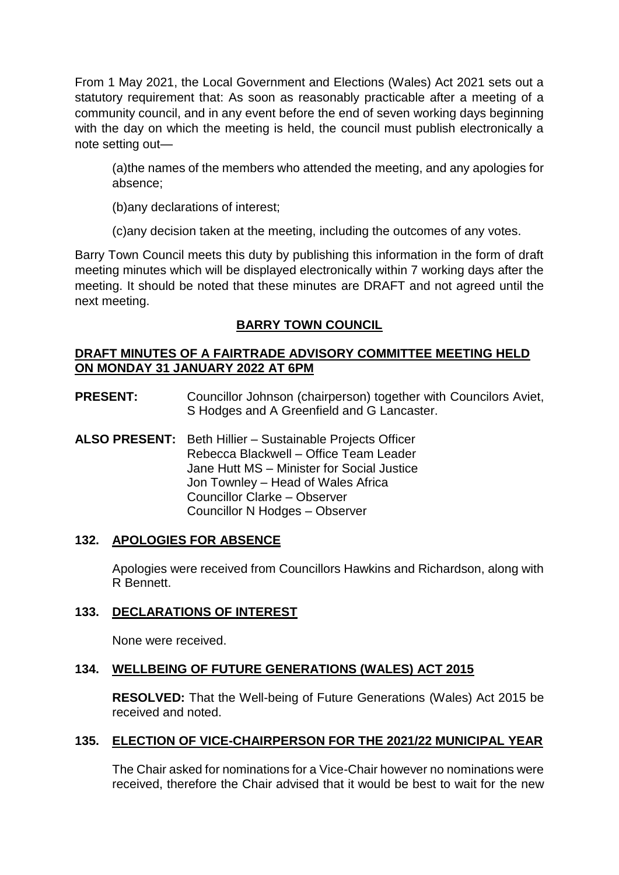From 1 May 2021, the Local Government and Elections (Wales) Act 2021 sets out a statutory requirement that: As soon as reasonably practicable after a meeting of a community council, and in any event before the end of seven working days beginning with the day on which the meeting is held, the council must publish electronically a note setting out—

(a)the names of the members who attended the meeting, and any apologies for absence;

(b)any declarations of interest;

(c)any decision taken at the meeting, including the outcomes of any votes.

Barry Town Council meets this duty by publishing this information in the form of draft meeting minutes which will be displayed electronically within 7 working days after the meeting. It should be noted that these minutes are DRAFT and not agreed until the next meeting.

# **BARRY TOWN COUNCIL**

# **DRAFT MINUTES OF A FAIRTRADE ADVISORY COMMITTEE MEETING HELD ON MONDAY 31 JANUARY 2022 AT 6PM**

- **PRESENT:** Councillor Johnson (chairperson) together with Councilors Aviet, S Hodges and A Greenfield and G Lancaster.
- **ALSO PRESENT:** Beth Hillier Sustainable Projects Officer Rebecca Blackwell – Office Team Leader Jane Hutt MS – Minister for Social Justice Jon Townley – Head of Wales Africa Councillor Clarke – Observer Councillor N Hodges – Observer

# **132. APOLOGIES FOR ABSENCE**

Apologies were received from Councillors Hawkins and Richardson, along with R Bennett.

# **133. DECLARATIONS OF INTEREST**

None were received.

# **134. WELLBEING OF FUTURE GENERATIONS (WALES) ACT 2015**

**RESOLVED:** That the Well-being of Future Generations (Wales) Act 2015 be received and noted.

# **135. ELECTION OF VICE-CHAIRPERSON FOR THE 2021/22 MUNICIPAL YEAR**

The Chair asked for nominations for a Vice-Chair however no nominations were received, therefore the Chair advised that it would be best to wait for the new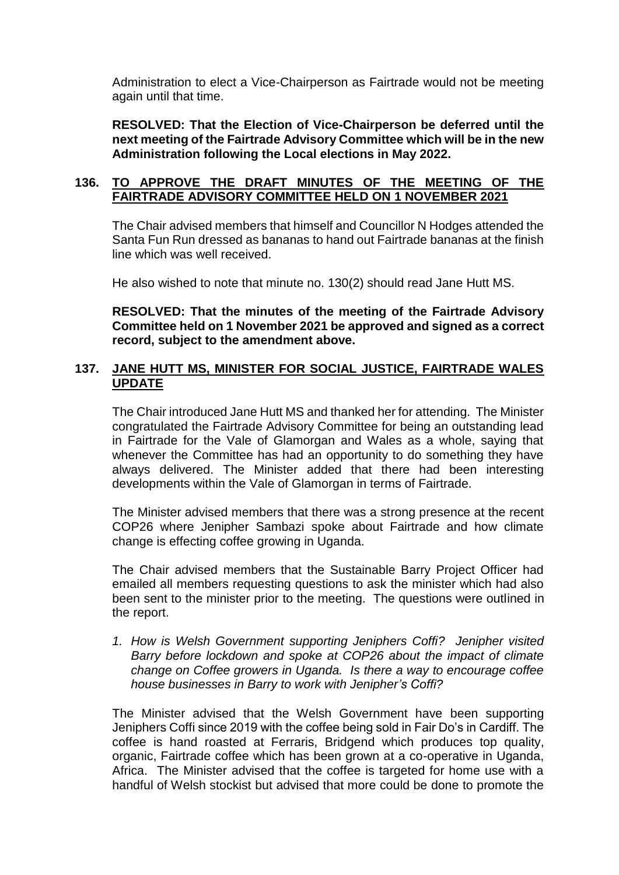Administration to elect a Vice-Chairperson as Fairtrade would not be meeting again until that time.

**RESOLVED: That the Election of Vice-Chairperson be deferred until the next meeting of the Fairtrade Advisory Committee which will be in the new Administration following the Local elections in May 2022.** 

### **136. TO APPROVE THE DRAFT MINUTES OF THE MEETING OF THE FAIRTRADE ADVISORY COMMITTEE HELD ON 1 NOVEMBER 2021**

The Chair advised members that himself and Councillor N Hodges attended the Santa Fun Run dressed as bananas to hand out Fairtrade bananas at the finish line which was well received.

He also wished to note that minute no. 130(2) should read Jane Hutt MS.

**RESOLVED: That the minutes of the meeting of the Fairtrade Advisory Committee held on 1 November 2021 be approved and signed as a correct record, subject to the amendment above.** 

### **137. JANE HUTT MS, MINISTER FOR SOCIAL JUSTICE, FAIRTRADE WALES UPDATE**

The Chair introduced Jane Hutt MS and thanked her for attending. The Minister congratulated the Fairtrade Advisory Committee for being an outstanding lead in Fairtrade for the Vale of Glamorgan and Wales as a whole, saying that whenever the Committee has had an opportunity to do something they have always delivered. The Minister added that there had been interesting developments within the Vale of Glamorgan in terms of Fairtrade.

The Minister advised members that there was a strong presence at the recent COP26 where Jenipher Sambazi spoke about Fairtrade and how climate change is effecting coffee growing in Uganda.

The Chair advised members that the Sustainable Barry Project Officer had emailed all members requesting questions to ask the minister which had also been sent to the minister prior to the meeting. The questions were outlined in the report.

*1. How is Welsh Government supporting Jeniphers Coffi? Jenipher visited Barry before lockdown and spoke at COP26 about the impact of climate change on Coffee growers in Uganda. Is there a way to encourage coffee house businesses in Barry to work with Jenipher's Coffi?* 

The Minister advised that the Welsh Government have been supporting Jeniphers Coffi since 2019 with the coffee being sold in Fair Do's in Cardiff. The coffee is hand roasted at Ferraris, Bridgend which produces top quality, organic, Fairtrade coffee which has been grown at a co-operative in Uganda, Africa. The Minister advised that the coffee is targeted for home use with a handful of Welsh stockist but advised that more could be done to promote the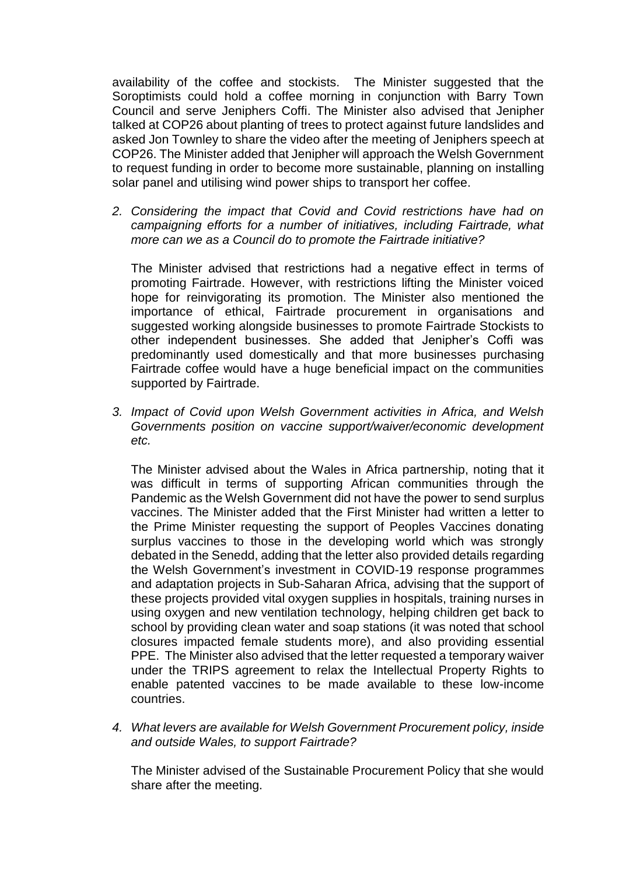availability of the coffee and stockists. The Minister suggested that the Soroptimists could hold a coffee morning in conjunction with Barry Town Council and serve Jeniphers Coffi. The Minister also advised that Jenipher talked at COP26 about planting of trees to protect against future landslides and asked Jon Townley to share the video after the meeting of Jeniphers speech at COP26. The Minister added that Jenipher will approach the Welsh Government to request funding in order to become more sustainable, planning on installing solar panel and utilising wind power ships to transport her coffee.

*2. Considering the impact that Covid and Covid restrictions have had on campaigning efforts for a number of initiatives, including Fairtrade, what more can we as a Council do to promote the Fairtrade initiative?*

The Minister advised that restrictions had a negative effect in terms of promoting Fairtrade. However, with restrictions lifting the Minister voiced hope for reinvigorating its promotion. The Minister also mentioned the importance of ethical, Fairtrade procurement in organisations and suggested working alongside businesses to promote Fairtrade Stockists to other independent businesses. She added that Jenipher's Coffi was predominantly used domestically and that more businesses purchasing Fairtrade coffee would have a huge beneficial impact on the communities supported by Fairtrade.

*3. Impact of Covid upon Welsh Government activities in Africa, and Welsh Governments position on vaccine support/waiver/economic development etc.* 

The Minister advised about the Wales in Africa partnership, noting that it was difficult in terms of supporting African communities through the Pandemic as the Welsh Government did not have the power to send surplus vaccines. The Minister added that the First Minister had written a letter to the Prime Minister requesting the support of Peoples Vaccines donating surplus vaccines to those in the developing world which was strongly debated in the Senedd, adding that the letter also provided details regarding the Welsh Government's investment in COVID-19 response programmes and adaptation projects in Sub-Saharan Africa, advising that the support of these projects provided vital oxygen supplies in hospitals, training nurses in using oxygen and new ventilation technology, helping children get back to school by providing clean water and soap stations (it was noted that school closures impacted female students more), and also providing essential PPE. The Minister also advised that the letter requested a temporary waiver under the TRIPS agreement to relax the Intellectual Property Rights to enable patented vaccines to be made available to these low-income countries.

*4. What levers are available for Welsh Government Procurement policy, inside and outside Wales, to support Fairtrade?* 

The Minister advised of the Sustainable Procurement Policy that she would share after the meeting.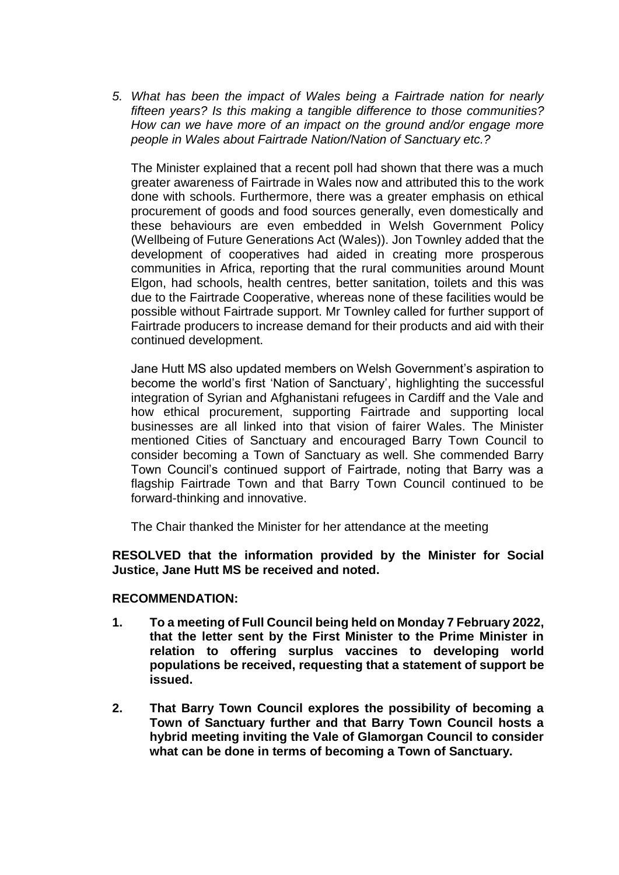*5. What has been the impact of Wales being a Fairtrade nation for nearly fifteen years? Is this making a tangible difference to those communities? How can we have more of an impact on the ground and/or engage more people in Wales about Fairtrade Nation/Nation of Sanctuary etc.?* 

The Minister explained that a recent poll had shown that there was a much greater awareness of Fairtrade in Wales now and attributed this to the work done with schools. Furthermore, there was a greater emphasis on ethical procurement of goods and food sources generally, even domestically and these behaviours are even embedded in Welsh Government Policy (Wellbeing of Future Generations Act (Wales)). Jon Townley added that the development of cooperatives had aided in creating more prosperous communities in Africa, reporting that the rural communities around Mount Elgon, had schools, health centres, better sanitation, toilets and this was due to the Fairtrade Cooperative, whereas none of these facilities would be possible without Fairtrade support. Mr Townley called for further support of Fairtrade producers to increase demand for their products and aid with their continued development.

Jane Hutt MS also updated members on Welsh Government's aspiration to become the world's first 'Nation of Sanctuary', highlighting the successful integration of Syrian and Afghanistani refugees in Cardiff and the Vale and how ethical procurement, supporting Fairtrade and supporting local businesses are all linked into that vision of fairer Wales. The Minister mentioned Cities of Sanctuary and encouraged Barry Town Council to consider becoming a Town of Sanctuary as well. She commended Barry Town Council's continued support of Fairtrade, noting that Barry was a flagship Fairtrade Town and that Barry Town Council continued to be forward-thinking and innovative.

The Chair thanked the Minister for her attendance at the meeting

**RESOLVED that the information provided by the Minister for Social Justice, Jane Hutt MS be received and noted.**

#### **RECOMMENDATION:**

- **1. To a meeting of Full Council being held on Monday 7 February 2022, that the letter sent by the First Minister to the Prime Minister in relation to offering surplus vaccines to developing world populations be received, requesting that a statement of support be issued.**
- **2. That Barry Town Council explores the possibility of becoming a Town of Sanctuary further and that Barry Town Council hosts a hybrid meeting inviting the Vale of Glamorgan Council to consider what can be done in terms of becoming a Town of Sanctuary.**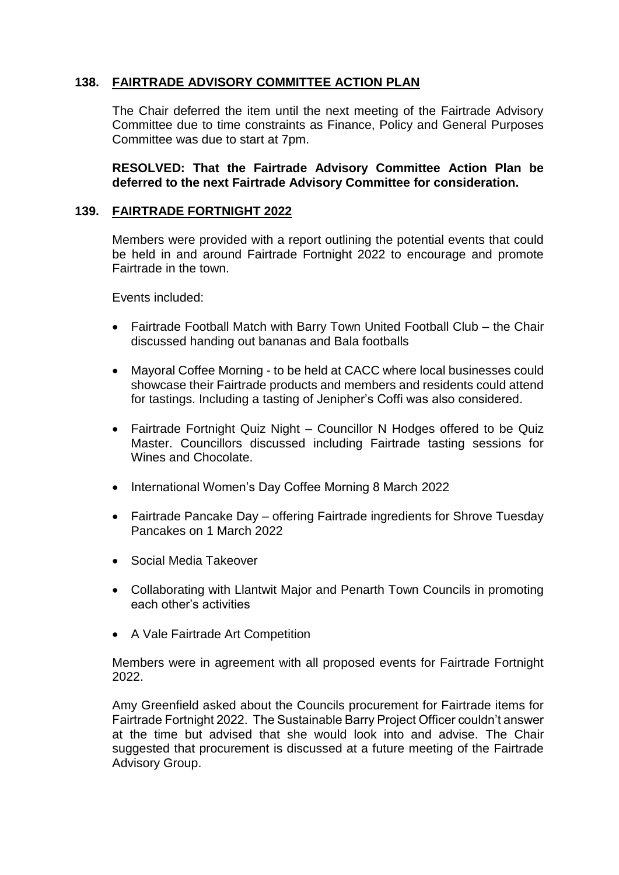# **138. FAIRTRADE ADVISORY COMMITTEE ACTION PLAN**

The Chair deferred the item until the next meeting of the Fairtrade Advisory Committee due to time constraints as Finance, Policy and General Purposes Committee was due to start at 7pm.

**RESOLVED: That the Fairtrade Advisory Committee Action Plan be deferred to the next Fairtrade Advisory Committee for consideration.** 

#### **139. FAIRTRADE FORTNIGHT 2022**

Members were provided with a report outlining the potential events that could be held in and around Fairtrade Fortnight 2022 to encourage and promote Fairtrade in the town.

Events included:

- Fairtrade Football Match with Barry Town United Football Club the Chair discussed handing out bananas and Bala footballs
- Mayoral Coffee Morning to be held at CACC where local businesses could showcase their Fairtrade products and members and residents could attend for tastings. Including a tasting of Jenipher's Coffi was also considered.
- Fairtrade Fortnight Quiz Night Councillor N Hodges offered to be Quiz Master. Councillors discussed including Fairtrade tasting sessions for Wines and Chocolate.
- International Women's Day Coffee Morning 8 March 2022
- Fairtrade Pancake Day offering Fairtrade ingredients for Shrove Tuesday Pancakes on 1 March 2022
- Social Media Takeover
- Collaborating with Llantwit Major and Penarth Town Councils in promoting each other's activities
- A Vale Fairtrade Art Competition

Members were in agreement with all proposed events for Fairtrade Fortnight 2022.

Amy Greenfield asked about the Councils procurement for Fairtrade items for Fairtrade Fortnight 2022. The Sustainable Barry Project Officer couldn't answer at the time but advised that she would look into and advise. The Chair suggested that procurement is discussed at a future meeting of the Fairtrade Advisory Group.